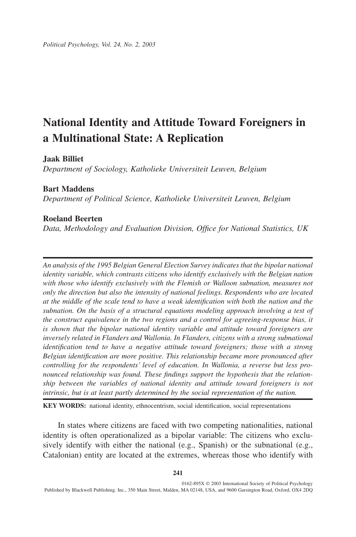# **National Identity and Attitude Toward Foreigners in a Multinational State: A Replication**

# **Jaak Billiet**

*Department of Sociology, Katholieke Universiteit Leuven, Belgium*

## **Bart Maddens**

*Department of Political Science, Katholieke Universiteit Leuven, Belgium*

# **Roeland Beerten**

*Data, Methodology and Evaluation Division, Office for National Statistics, UK*

*An analysis of the 1995 Belgian General Election Survey indicates that the bipolar national identity variable, which contrasts citizens who identify exclusively with the Belgian nation with those who identify exclusively with the Flemish or Walloon subnation, measures not only the direction but also the intensity of national feelings. Respondents who are located at the middle of the scale tend to have a weak identification with both the nation and the subnation. On the basis of a structural equations modeling approach involving a test of the construct equivalence in the two regions and a control for agreeing-response bias, it is shown that the bipolar national identity variable and attitude toward foreigners are inversely related in Flanders and Wallonia. In Flanders, citizens with a strong subnational identification tend to have a negative attitude toward foreigners; those with a strong Belgian identification are more positive. This relationship became more pronounced after controlling for the respondents' level of education. In Wallonia, a reverse but less pronounced relationship was found. These findings support the hypothesis that the relationship between the variables of national identity and attitude toward foreigners is not intrinsic, but is at least partly determined by the social representation of the nation.*

**KEY WORDS:** national identity, ethnocentrism, social identification, social representations

In states where citizens are faced with two competing nationalities, national identity is often operationalized as a bipolar variable: The citizens who exclusively identify with either the national (e.g., Spanish) or the subnational (e.g., Catalonian) entity are located at the extremes, whereas those who identify with

<sup>0162-895</sup>X © 2003 International Society of Political Psychology Published by Blackwell Publishing. Inc., 350 Main Street, Malden, MA 02148, USA, and 9600 Garsington Road, Oxford, OX4 2DQ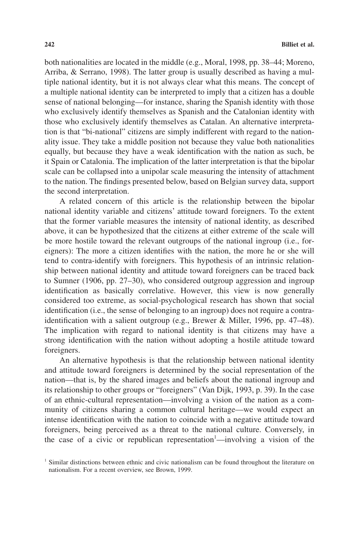both nationalities are located in the middle (e.g., Moral, 1998, pp. 38–44; Moreno, Arriba, & Serrano, 1998). The latter group is usually described as having a multiple national identity, but it is not always clear what this means. The concept of a multiple national identity can be interpreted to imply that a citizen has a double sense of national belonging—for instance, sharing the Spanish identity with those who exclusively identify themselves as Spanish and the Catalonian identity with those who exclusively identify themselves as Catalan. An alternative interpretation is that "bi-national" citizens are simply indifferent with regard to the nationality issue. They take a middle position not because they value both nationalities equally, but because they have a weak identification with the nation as such, be it Spain or Catalonia. The implication of the latter interpretation is that the bipolar scale can be collapsed into a unipolar scale measuring the intensity of attachment to the nation. The findings presented below, based on Belgian survey data, support the second interpretation.

A related concern of this article is the relationship between the bipolar national identity variable and citizens' attitude toward foreigners. To the extent that the former variable measures the intensity of national identity, as described above, it can be hypothesized that the citizens at either extreme of the scale will be more hostile toward the relevant outgroups of the national ingroup (i.e., foreigners): The more a citizen identifies with the nation, the more he or she will tend to contra-identify with foreigners. This hypothesis of an intrinsic relationship between national identity and attitude toward foreigners can be traced back to Sumner (1906, pp. 27–30), who considered outgroup aggression and ingroup identification as basically correlative. However, this view is now generally considered too extreme, as social-psychological research has shown that social identification (i.e., the sense of belonging to an ingroup) does not require a contraidentification with a salient outgroup (e.g., Brewer & Miller, 1996, pp. 47–48). The implication with regard to national identity is that citizens may have a strong identification with the nation without adopting a hostile attitude toward foreigners.

An alternative hypothesis is that the relationship between national identity and attitude toward foreigners is determined by the social representation of the nation—that is, by the shared images and beliefs about the national ingroup and its relationship to other groups or "foreigners" (Van Dijk, 1993, p. 39). In the case of an ethnic-cultural representation—involving a vision of the nation as a community of citizens sharing a common cultural heritage—we would expect an intense identification with the nation to coincide with a negative attitude toward foreigners, being perceived as a threat to the national culture. Conversely, in the case of a civic or republican representation<sup>1</sup>—involving a vision of the

<sup>&</sup>lt;sup>1</sup> Similar distinctions between ethnic and civic nationalism can be found throughout the literature on nationalism. For a recent overview, see Brown, 1999.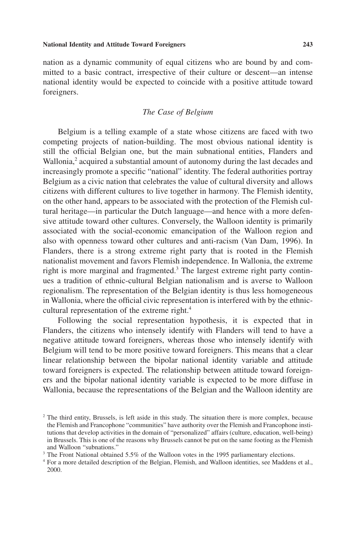nation as a dynamic community of equal citizens who are bound by and committed to a basic contract, irrespective of their culture or descent—an intense national identity would be expected to coincide with a positive attitude toward foreigners.

# *The Case of Belgium*

Belgium is a telling example of a state whose citizens are faced with two competing projects of nation-building. The most obvious national identity is still the official Belgian one, but the main subnational entities, Flanders and Wallonia,<sup>2</sup> acquired a substantial amount of autonomy during the last decades and increasingly promote a specific "national" identity. The federal authorities portray Belgium as a civic nation that celebrates the value of cultural diversity and allows citizens with different cultures to live together in harmony. The Flemish identity, on the other hand, appears to be associated with the protection of the Flemish cultural heritage—in particular the Dutch language—and hence with a more defensive attitude toward other cultures. Conversely, the Walloon identity is primarily associated with the social-economic emancipation of the Walloon region and also with openness toward other cultures and anti-racism (Van Dam, 1996). In Flanders, there is a strong extreme right party that is rooted in the Flemish nationalist movement and favors Flemish independence. In Wallonia, the extreme right is more marginal and fragmented.<sup>3</sup> The largest extreme right party continues a tradition of ethnic-cultural Belgian nationalism and is averse to Walloon regionalism. The representation of the Belgian identity is thus less homogeneous in Wallonia, where the official civic representation is interfered with by the ethniccultural representation of the extreme right.<sup>4</sup>

Following the social representation hypothesis, it is expected that in Flanders, the citizens who intensely identify with Flanders will tend to have a negative attitude toward foreigners, whereas those who intensely identify with Belgium will tend to be more positive toward foreigners. This means that a clear linear relationship between the bipolar national identity variable and attitude toward foreigners is expected. The relationship between attitude toward foreigners and the bipolar national identity variable is expected to be more diffuse in Wallonia, because the representations of the Belgian and the Walloon identity are

<sup>&</sup>lt;sup>2</sup> The third entity, Brussels, is left aside in this study. The situation there is more complex, because the Flemish and Francophone "communities" have authority over the Flemish and Francophone institutions that develop activities in the domain of "personalized" affairs (culture, education, well-being) in Brussels. This is one of the reasons why Brussels cannot be put on the same footing as the Flemish and Walloon "subnations."

<sup>&</sup>lt;sup>3</sup> The Front National obtained 5.5% of the Walloon votes in the 1995 parliamentary elections.

<sup>4</sup> For a more detailed description of the Belgian, Flemish, and Walloon identities, see Maddens et al., 2000.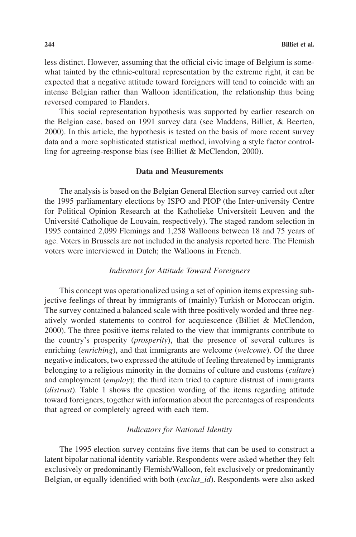less distinct. However, assuming that the official civic image of Belgium is somewhat tainted by the ethnic-cultural representation by the extreme right, it can be expected that a negative attitude toward foreigners will tend to coincide with an intense Belgian rather than Walloon identification, the relationship thus being reversed compared to Flanders.

This social representation hypothesis was supported by earlier research on the Belgian case, based on 1991 survey data (see Maddens, Billiet, & Beerten, 2000). In this article, the hypothesis is tested on the basis of more recent survey data and a more sophisticated statistical method, involving a style factor controlling for agreeing-response bias (see Billiet & McClendon, 2000).

## **Data and Measurements**

The analysis is based on the Belgian General Election survey carried out after the 1995 parliamentary elections by ISPO and PIOP (the Inter-university Centre for Political Opinion Research at the Katholieke Universiteit Leuven and the Université Catholique de Louvain, respectively). The staged random selection in 1995 contained 2,099 Flemings and 1,258 Walloons between 18 and 75 years of age. Voters in Brussels are not included in the analysis reported here. The Flemish voters were interviewed in Dutch; the Walloons in French.

## *Indicators for Attitude Toward Foreigners*

This concept was operationalized using a set of opinion items expressing subjective feelings of threat by immigrants of (mainly) Turkish or Moroccan origin. The survey contained a balanced scale with three positively worded and three negatively worded statements to control for acquiescence (Billiet & McClendon, 2000). The three positive items related to the view that immigrants contribute to the country's prosperity (*prosperity*), that the presence of several cultures is enriching (*enriching*), and that immigrants are welcome (*welcome*). Of the three negative indicators, two expressed the attitude of feeling threatened by immigrants belonging to a religious minority in the domains of culture and customs (*culture*) and employment (*employ*); the third item tried to capture distrust of immigrants (*distrust*). Table 1 shows the question wording of the items regarding attitude toward foreigners, together with information about the percentages of respondents that agreed or completely agreed with each item.

# *Indicators for National Identity*

The 1995 election survey contains five items that can be used to construct a latent bipolar national identity variable. Respondents were asked whether they felt exclusively or predominantly Flemish/Walloon, felt exclusively or predominantly Belgian, or equally identified with both (*exclus*\_*id*). Respondents were also asked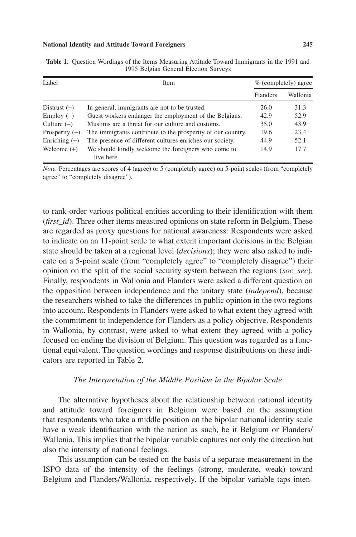| Label            | <b>Item</b>                                                 | % (completely) agree |          |
|------------------|-------------------------------------------------------------|----------------------|----------|
|                  |                                                             | <b>Flanders</b>      | Wallonia |
| Distrust $(-)$   | In general, immigrants are not to be trusted.               | 26.0                 | 31.3     |
| Employ $(-)$     | Guest workers endanger the employment of the Belgians.      | 42.9                 | 52.9     |
| Culture $(-)$    | Muslims are a threat for our culture and customs.           | 35.0                 | 43.9     |
| Prosperity $(+)$ | The immigrants contribute to the prosperity of our country. | 19.6                 | 23.4     |
| Enriching $(+)$  | The presence of different cultures enriches our society.    | 44.9                 | 52.1     |
| Welcome $(+)$    | We should kindly welcome the foreigners who come to         | 14.9                 | 17.7     |
|                  | live here.                                                  |                      |          |

**Table 1.** Question Wordings of the Items Measuring Attitude Toward Immigrants in the 1991 and 1995 Belgian General Election Surveys

*Note.* Percentages are scores of 4 (agree) or 5 (completely agree) on 5-point scales (from "completely agree" to "completely disagree").

to rank-order various political entities according to their identification with them *(first id)*. Three other items measured opinions on state reform in Belgium. These are regarded as proxy questions for national awareness: Respondents were asked to indicate on an 11-point scale to what extent important decisions in the Belgian state should be taken at a regional level (*decisions*); they were also asked to indicate on a 5-point scale (from "completely agree" to "completely disagree") their opinion on the split of the social security system between the regions (*soc*\_*sec*). Finally, respondents in Wallonia and Flanders were asked a different question on the opposition between independence and the unitary state (*independ*), because the researchers wished to take the differences in public opinion in the two regions into account. Respondents in Flanders were asked to what extent they agreed with the commitment to independence for Flanders as a policy objective. Respondents in Wallonia, by contrast, were asked to what extent they agreed with a policy focused on ending the division of Belgium. This question was regarded as a functional equivalent. The question wordings and response distributions on these indicators are reported in Table 2.

## *The Interpretation of the Middle Position in the Bipolar Scale*

The alternative hypotheses about the relationship between national identity and attitude toward foreigners in Belgium were based on the assumption that respondents who take a middle position on the bipolar national identity scale have a weak identification with the nation as such, be it Belgium or Flanders/ Wallonia. This implies that the bipolar variable captures not only the direction but also the intensity of national feelings.

This assumption can be tested on the basis of a separate measurement in the ISPO data of the intensity of the feelings (strong, moderate, weak) toward Belgium and Flanders/Wallonia, respectively. If the bipolar variable taps inten-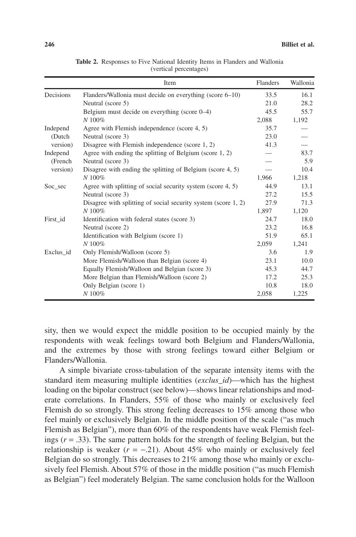|           | Item                                                           | Flanders | Wallonia |
|-----------|----------------------------------------------------------------|----------|----------|
| Decisions | Flanders/Wallonia must decide on everything (score 6–10)       | 33.5     | 16.1     |
|           | Neutral (score 5)                                              | 21.0     | 28.2     |
|           | Belgium must decide on everything (score $0-4$ )               | 45.5     | 55.7     |
|           | N 100%                                                         | 2,088    | 1,192    |
| Independ  | Agree with Flemish independence (score 4, 5)                   | 35.7     |          |
| (Dutch)   | Neutral (score 3)                                              | 23.0     |          |
| version)  | Disagree with Flemish independence (score 1, 2)                | 41.3     |          |
| Independ  | Agree with ending the splitting of Belgium (score 1, 2)        |          | 83.7     |
| (French   | Neutral (score 3)                                              |          | 5.9      |
| version)  | Disagree with ending the splitting of Belgium (score 4, 5)     |          | 10.4     |
|           | $N$ 100%                                                       | 1,966    | 1,218    |
| Soc sec   | Agree with splitting of social security system (score 4, 5)    | 44.9     | 13.1     |
|           | Neutral (score 3)                                              | 27.2     | 15.5     |
|           | Disagree with splitting of social security system (score 1, 2) | 27.9     | 71.3     |
|           | N 100%                                                         | 1,897    | 1,120    |
| First id  | Identification with federal states (score 3)                   | 24.7     | 18.0     |
|           | Neutral (score 2)                                              | 23.2     | 16.8     |
|           | Identification with Belgium (score 1)                          | 51.9     | 65.1     |
|           | N 100%                                                         | 2,059    | 1,241    |
| Exclus id | Only Flemish/Walloon (score 5)                                 | 3.6      | 1.9      |
|           | More Flemish/Walloon than Belgian (score 4)                    | 23.1     | 10.0     |
|           | Equally Flemish/Walloon and Belgian (score 3)                  | 45.3     | 44.7     |
|           | More Belgian than Flemish/Walloon (score 2)                    | 17.2     | 25.3     |
|           | Only Belgian (score 1)                                         | 10.8     | 18.0     |
|           | N 100%                                                         | 2,058    | 1,225    |

**Table 2.** Responses to Five National Identity Items in Flanders and Wallonia (vertical percentages)

sity, then we would expect the middle position to be occupied mainly by the respondents with weak feelings toward both Belgium and Flanders/Wallonia, and the extremes by those with strong feelings toward either Belgium or Flanders/Wallonia.

A simple bivariate cross-tabulation of the separate intensity items with the standard item measuring multiple identities (*exclus*\_*id*)—which has the highest loading on the bipolar construct (see below)—shows linear relationships and moderate correlations. In Flanders, 55% of those who mainly or exclusively feel Flemish do so strongly. This strong feeling decreases to 15% among those who feel mainly or exclusively Belgian. In the middle position of the scale ("as much Flemish as Belgian"), more than 60% of the respondents have weak Flemish feelings  $(r = .33)$ . The same pattern holds for the strength of feeling Belgian, but the relationship is weaker  $(r = -.21)$ . About 45% who mainly or exclusively feel Belgian do so strongly. This decreases to 21% among those who mainly or exclusively feel Flemish. About 57% of those in the middle position ("as much Flemish as Belgian") feel moderately Belgian. The same conclusion holds for the Walloon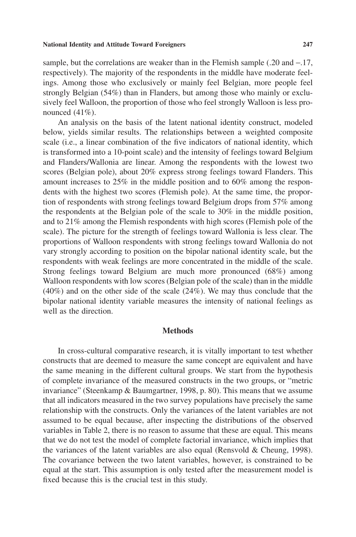sample, but the correlations are weaker than in the Flemish sample (.20 and -.17, respectively). The majority of the respondents in the middle have moderate feelings. Among those who exclusively or mainly feel Belgian, more people feel strongly Belgian (54%) than in Flanders, but among those who mainly or exclusively feel Walloon, the proportion of those who feel strongly Walloon is less pronounced (41%).

An analysis on the basis of the latent national identity construct, modeled below, yields similar results. The relationships between a weighted composite scale (i.e., a linear combination of the five indicators of national identity, which is transformed into a 10-point scale) and the intensity of feelings toward Belgium and Flanders/Wallonia are linear. Among the respondents with the lowest two scores (Belgian pole), about 20% express strong feelings toward Flanders. This amount increases to 25% in the middle position and to 60% among the respondents with the highest two scores (Flemish pole). At the same time, the proportion of respondents with strong feelings toward Belgium drops from 57% among the respondents at the Belgian pole of the scale to 30% in the middle position, and to 21% among the Flemish respondents with high scores (Flemish pole of the scale). The picture for the strength of feelings toward Wallonia is less clear. The proportions of Walloon respondents with strong feelings toward Wallonia do not vary strongly according to position on the bipolar national identity scale, but the respondents with weak feelings are more concentrated in the middle of the scale. Strong feelings toward Belgium are much more pronounced (68%) among Walloon respondents with low scores (Belgian pole of the scale) than in the middle (40%) and on the other side of the scale (24%). We may thus conclude that the bipolar national identity variable measures the intensity of national feelings as well as the direction.

# **Methods**

In cross-cultural comparative research, it is vitally important to test whether constructs that are deemed to measure the same concept are equivalent and have the same meaning in the different cultural groups. We start from the hypothesis of complete invariance of the measured constructs in the two groups, or "metric invariance" (Steenkamp & Baumgartner, 1998, p. 80). This means that we assume that all indicators measured in the two survey populations have precisely the same relationship with the constructs. Only the variances of the latent variables are not assumed to be equal because, after inspecting the distributions of the observed variables in Table 2, there is no reason to assume that these are equal. This means that we do not test the model of complete factorial invariance, which implies that the variances of the latent variables are also equal (Rensvold & Cheung, 1998). The covariance between the two latent variables, however, is constrained to be equal at the start. This assumption is only tested after the measurement model is fixed because this is the crucial test in this study.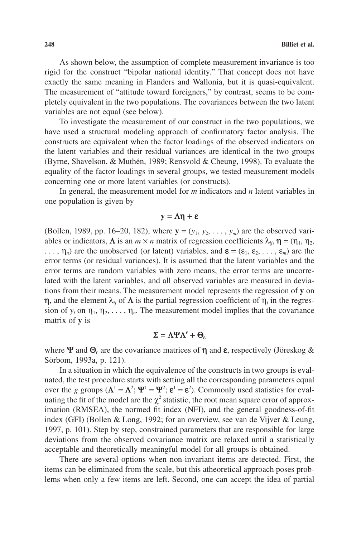As shown below, the assumption of complete measurement invariance is too rigid for the construct "bipolar national identity." That concept does not have exactly the same meaning in Flanders and Wallonia, but it is quasi-equivalent. The measurement of "attitude toward foreigners," by contrast, seems to be completely equivalent in the two populations. The covariances between the two latent variables are not equal (see below).

To investigate the measurement of our construct in the two populations, we have used a structural modeling approach of confirmatory factor analysis. The constructs are equivalent when the factor loadings of the observed indicators on the latent variables and their residual variances are identical in the two groups (Byrne, Shavelson, & Muthén, 1989; Rensvold & Cheung, 1998). To evaluate the equality of the factor loadings in several groups, we tested measurement models concerning one or more latent variables (or constructs).

In general, the measurement model for *m* indicators and *n* latent variables in one population is given by

 $y = \Lambda \eta + \varepsilon$ 

(Bollen, 1989, pp. 16–20, 182), where  $y = (y_1, y_2, \ldots, y_m)$  are the observed variables or indicators,  $\Lambda$  is an  $m \times n$  matrix of regression coefficients  $\lambda_{ii}$ ,  $\eta = (\eta_1, \eta_2, \eta_3)$  $\ldots$ ,  $\eta_n$ ) are the unobserved (or latent) variables, and  $\boldsymbol{\epsilon} = (\epsilon_1, \epsilon_2, \ldots, \epsilon_m)$  are the error terms (or residual variances). It is assumed that the latent variables and the error terms are random variables with zero means, the error terms are uncorrelated with the latent variables, and all observed variables are measured in deviations from their means. The measurement model represents the regression of **y** on  $\eta$ , and the element  $\lambda_{ij}$  of  $\Lambda$  is the partial regression coefficient of  $\eta_j$  in the regression of  $y_i$  on  $\eta_1, \eta_2, \ldots, \eta_n$ . The measurement model implies that the covariance matrix of **y** is

$$
\Sigma = \Lambda \Psi \Lambda' + \Theta_{\varepsilon}
$$

where  $\Psi$  and  $\Theta_{\varepsilon}$  are the covariance matrices of  $\eta$  and  $\varepsilon$ , respectively (Jöreskog & Sörbom, 1993a, p. 121).

In a situation in which the equivalence of the constructs in two groups is evaluated, the test procedure starts with setting all the corresponding parameters equal over the *g* groups  $(\Lambda^1 = \Lambda^2; \Psi^1 = \Psi^2; \varepsilon^1 = \varepsilon^2)$ . Commonly used statistics for evaluating the fit of the model are the  $\chi^2$  statistic, the root mean square error of approximation (RMSEA), the normed fit index (NFI), and the general goodness-of-fit index (GFI) (Bollen & Long, 1992; for an overview, see van de Vijver & Leung, 1997, p. 101). Step by step, constrained parameters that are responsible for large deviations from the observed covariance matrix are relaxed until a statistically acceptable and theoretically meaningful model for all groups is obtained.

There are several options when non-invariant items are detected. First, the items can be eliminated from the scale, but this atheoretical approach poses problems when only a few items are left. Second, one can accept the idea of partial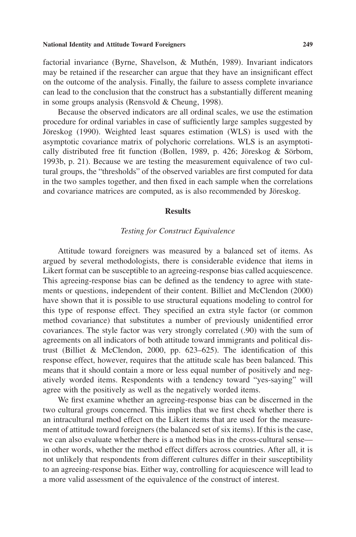factorial invariance (Byrne, Shavelson, & Muthén, 1989). Invariant indicators may be retained if the researcher can argue that they have an insignificant effect on the outcome of the analysis. Finally, the failure to assess complete invariance can lead to the conclusion that the construct has a substantially different meaning in some groups analysis (Rensvold & Cheung, 1998).

Because the observed indicators are all ordinal scales, we use the estimation procedure for ordinal variables in case of sufficiently large samples suggested by Jöreskog (1990). Weighted least squares estimation (WLS) is used with the asymptotic covariance matrix of polychoric correlations. WLS is an asymptotically distributed free fit function (Bollen, 1989, p. 426; Jöreskog & Sörbom, 1993b, p. 21). Because we are testing the measurement equivalence of two cultural groups, the "thresholds" of the observed variables are first computed for data in the two samples together, and then fixed in each sample when the correlations and covariance matrices are computed, as is also recommended by Jöreskog.

## **Results**

## *Testing for Construct Equivalence*

Attitude toward foreigners was measured by a balanced set of items. As argued by several methodologists, there is considerable evidence that items in Likert format can be susceptible to an agreeing-response bias called acquiescence. This agreeing-response bias can be defined as the tendency to agree with statements or questions, independent of their content. Billiet and McClendon (2000) have shown that it is possible to use structural equations modeling to control for this type of response effect. They specified an extra style factor (or common method covariance) that substitutes a number of previously unidentified error covariances. The style factor was very strongly correlated (.90) with the sum of agreements on all indicators of both attitude toward immigrants and political distrust (Billiet & McClendon, 2000, pp. 623–625). The identification of this response effect, however, requires that the attitude scale has been balanced. This means that it should contain a more or less equal number of positively and negatively worded items. Respondents with a tendency toward "yes-saying" will agree with the positively as well as the negatively worded items.

We first examine whether an agreeing-response bias can be discerned in the two cultural groups concerned. This implies that we first check whether there is an intracultural method effect on the Likert items that are used for the measurement of attitude toward foreigners (the balanced set of six items). If this is the case, we can also evaluate whether there is a method bias in the cross-cultural sense in other words, whether the method effect differs across countries. After all, it is not unlikely that respondents from different cultures differ in their susceptibility to an agreeing-response bias. Either way, controlling for acquiescence will lead to a more valid assessment of the equivalence of the construct of interest.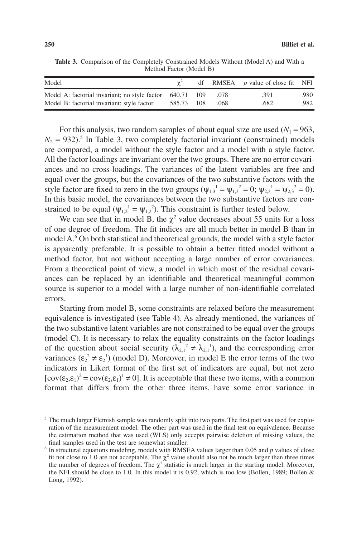**Table 3.** Comparison of the Completely Constrained Models Without (Model A) and With a Method Factor (Model B)

| Model                                         |            |      | df RMSEA $p$ value of close fit NFI |      |
|-----------------------------------------------|------------|------|-------------------------------------|------|
| Model A: factorial invariant; no style factor | 640.71 109 | .078 | .391                                | .980 |
| Model B: factorial invariant; style factor    | 585.73 108 | .068 | .682                                | .982 |

For this analysis, two random samples of about equal size are used  $(N_1 = 963$ .  $N_2 = 932$ ).<sup>5</sup> In Table 3, two completely factorial invariant (constrained) models are compared, a model without the style factor and a model with a style factor. All the factor loadings are invariant over the two groups. There are no error covariances and no cross-loadings. The variances of the latent variables are free and equal over the groups, but the covariances of the two substantive factors with the style factor are fixed to zero in the two groups  $(\psi_{1,3}^1 = \psi_{1,3}^2 = 0; \psi_{2,3}^1 = \psi_{2,3}^2 = 0)$ . In this basic model, the covariances between the two substantive factors are constrained to be equal  $(\psi_{1,2}^1 = \psi_{1,2}^2)$ . This constraint is further tested below.

We can see that in model B, the  $\chi^2$  value decreases about 55 units for a loss of one degree of freedom. The fit indices are all much better in model B than in model A.6 On both statistical and theoretical grounds, the model with a style factor is apparently preferable. It is possible to obtain a better fitted model without a method factor, but not without accepting a large number of error covariances. From a theoretical point of view, a model in which most of the residual covariances can be replaced by an identifiable and theoretical meaningful common source is superior to a model with a large number of non-identifiable correlated errors.

Starting from model B, some constraints are relaxed before the measurement equivalence is investigated (see Table 4). As already mentioned, the variances of the two substantive latent variables are not constrained to be equal over the groups (model C). It is necessary to relax the equality constraints on the factor loadings of the question about social security  $(\lambda_{2,1}^2 \neq \lambda_{2,1}^2)$ , and the corresponding error variances  $(\epsilon_2^2 \neq \epsilon_2^1)$  (model D). Moreover, in model E the error terms of the two indicators in Likert format of the first set of indicators are equal, but not zero [cov( $\epsilon_2$ , $\epsilon_1$ )<sup>2</sup> = cov( $\epsilon_2$ , $\epsilon_1$ )<sup>1</sup> ≠ 0]. It is acceptable that these two items, with a common format that differs from the other three items, have some error variance in

<sup>&</sup>lt;sup>5</sup> The much larger Flemish sample was randomly split into two parts. The first part was used for exploration of the measurement model. The other part was used in the final test on equivalence. Because the estimation method that was used (WLS) only accepts pairwise deletion of missing values, the final samples used in the test are somewhat smaller.

<sup>6</sup> In structural equations modeling, models with RMSEA values larger than 0.05 and *p* values of close fit not close to 1.0 are not acceptable. The  $\chi^2$  value should also not be much larger than three times the number of degrees of freedom. The  $\chi^2$  statistic is much larger in the starting model. Moreover, the NFI should be close to 1.0. In this model it is 0.92, which is too low (Bollen, 1989; Bollen & Long, 1992).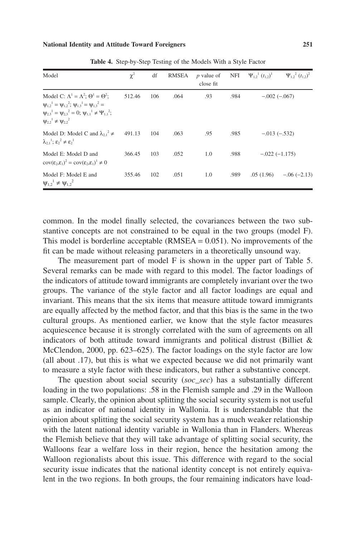| Model                                                                                                                                                                                                                                         | $\chi^2$ | df  | <b>RMSEA</b> | p value of<br>close fit | NFI  | $\Psi_{12}^1(t_{12})^1$ | $\Psi_{12}^2 (t_{12})^2$ |
|-----------------------------------------------------------------------------------------------------------------------------------------------------------------------------------------------------------------------------------------------|----------|-----|--------------|-------------------------|------|-------------------------|--------------------------|
| Model C: $\Lambda^1 = \Lambda^2$ ; $\Theta^1 = \Theta^2$ ;<br>$\Psi_{12}^1 = \Psi_{12}^2$ ; $\Psi_{13}^1 = \Psi_{13}^2 =$<br>$\Psi_{2,3}^{1} = \Psi_{2,3}^{2} = 0$ ; $\Psi_{1,1}^{1} \neq \Psi_{1,1}^{2}$ ;<br>$\Psi_{22}^1 \neq \Psi_{22}^2$ | 512.46   | 106 | .064         | .93                     | .984 | $-.002(-.067)$          |                          |
| Model D: Model C and $\lambda_{21}^2 \neq$<br>$\lambda_{21}^1$ ; $\varepsilon_2^2 \neq \varepsilon_2^1$                                                                                                                                       | 491.13   | 104 | .063         | .95                     | .985 | $-.013(-.532)$          |                          |
| Model E: Model D and<br>$cov(\varepsilon_2, \varepsilon_1)^2 = cov(\varepsilon_2, \varepsilon_1)^1 \neq 0$                                                                                                                                    | 366.45   | 103 | .052         | 1.0                     | .988 | $-.022(-1.175)$         |                          |
| Model F: Model E and<br>$\Psi_{12}^1 \neq \Psi_{12}^2$                                                                                                                                                                                        | 355.46   | 102 | .051         | 1.0                     | .989 | .05(1.96)               | $-.06 (-2.13)$           |

**Table 4.** Step-by-Step Testing of the Models With a Style Factor

common. In the model finally selected, the covariances between the two substantive concepts are not constrained to be equal in the two groups (model F). This model is borderline acceptable  $(RMSEA = 0.051)$ . No improvements of the fit can be made without releasing parameters in a theoretically unsound way.

The measurement part of model F is shown in the upper part of Table 5. Several remarks can be made with regard to this model. The factor loadings of the indicators of attitude toward immigrants are completely invariant over the two groups. The variance of the style factor and all factor loadings are equal and invariant. This means that the six items that measure attitude toward immigrants are equally affected by the method factor, and that this bias is the same in the two cultural groups. As mentioned earlier, we know that the style factor measures acquiescence because it is strongly correlated with the sum of agreements on all indicators of both attitude toward immigrants and political distrust (Billiet & McClendon, 2000, pp. 623–625). The factor loadings on the style factor are low (all about .17), but this is what we expected because we did not primarily want to measure a style factor with these indicators, but rather a substantive concept.

The question about social security (*soc*\_*sec*) has a substantially different loading in the two populations: .58 in the Flemish sample and .29 in the Walloon sample. Clearly, the opinion about splitting the social security system is not useful as an indicator of national identity in Wallonia. It is understandable that the opinion about splitting the social security system has a much weaker relationship with the latent national identity variable in Wallonia than in Flanders. Whereas the Flemish believe that they will take advantage of splitting social security, the Walloons fear a welfare loss in their region, hence the hesitation among the Walloon regionalists about this issue. This difference with regard to the social security issue indicates that the national identity concept is not entirely equivalent in the two regions. In both groups, the four remaining indicators have load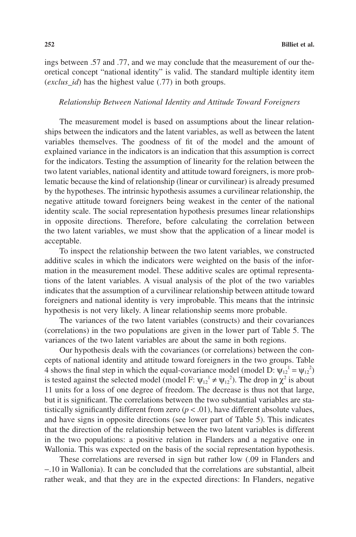ings between .57 and .77, and we may conclude that the measurement of our theoretical concept "national identity" is valid. The standard multiple identity item (*exclus*\_*id*) has the highest value (.77) in both groups.

## *Relationship Between National Identity and Attitude Toward Foreigners*

The measurement model is based on assumptions about the linear relationships between the indicators and the latent variables, as well as between the latent variables themselves. The goodness of fit of the model and the amount of explained variance in the indicators is an indication that this assumption is correct for the indicators. Testing the assumption of linearity for the relation between the two latent variables, national identity and attitude toward foreigners, is more problematic because the kind of relationship (linear or curvilinear) is already presumed by the hypotheses. The intrinsic hypothesis assumes a curvilinear relationship, the negative attitude toward foreigners being weakest in the center of the national identity scale. The social representation hypothesis presumes linear relationships in opposite directions. Therefore, before calculating the correlation between the two latent variables, we must show that the application of a linear model is acceptable.

To inspect the relationship between the two latent variables, we constructed additive scales in which the indicators were weighted on the basis of the information in the measurement model. These additive scales are optimal representations of the latent variables. A visual analysis of the plot of the two variables indicates that the assumption of a curvilinear relationship between attitude toward foreigners and national identity is very improbable. This means that the intrinsic hypothesis is not very likely. A linear relationship seems more probable.

The variances of the two latent variables (constructs) and their covariances (correlations) in the two populations are given in the lower part of Table 5. The variances of the two latent variables are about the same in both regions.

Our hypothesis deals with the covariances (or correlations) between the concepts of national identity and attitude toward foreigners in the two groups. Table 4 shows the final step in which the equal-covariance model (model D:  $\psi_{12}^1 = \psi_{12}^2$ ) is tested against the selected model (model F:  $\psi_{12}^1 \neq \psi_{12}^2$ ). The drop in  $\chi^2$  is about 11 units for a loss of one degree of freedom. The decrease is thus not that large, but it is significant. The correlations between the two substantial variables are statistically significantly different from zero  $(p < .01)$ , have different absolute values, and have signs in opposite directions (see lower part of Table 5). This indicates that the direction of the relationship between the two latent variables is different in the two populations: a positive relation in Flanders and a negative one in Wallonia. This was expected on the basis of the social representation hypothesis.

These correlations are reversed in sign but rather low (.09 in Flanders and -.10 in Wallonia). It can be concluded that the correlations are substantial, albeit rather weak, and that they are in the expected directions: In Flanders, negative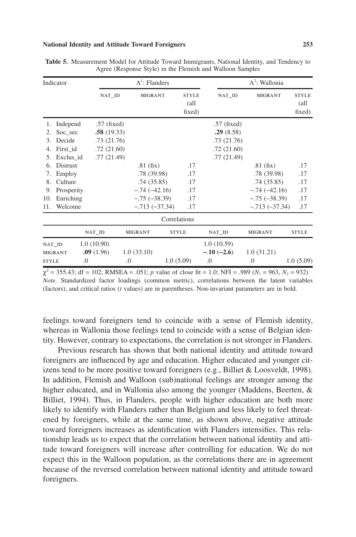| Indicator    |                |               |                | $\Lambda^1$ : Flanders | $\Lambda^2$ : Wallonia                |               |                 |                                |
|--------------|----------------|---------------|----------------|------------------------|---------------------------------------|---------------|-----------------|--------------------------------|
|              |                | NAT_ID        | <b>MIGRANT</b> |                        | <b>STYLE</b><br>$\alpha$ ll<br>fixed) | NAT_ID        | <b>MIGRANT</b>  | <b>STYLE</b><br>(all<br>fixed) |
| 1.           | Independ       | $.57$ (fixed) |                |                        |                                       | $.57$ (fixed) |                 |                                |
| 2.           | Soc sec        | .58(19.33)    |                |                        |                                       | .29(8.58)     |                 |                                |
| 3.           | Decide         | .73(21.76)    |                |                        |                                       | .73(21.76)    |                 |                                |
| 4.           | First id       | .72(21.60)    |                |                        |                                       | .72(21.60)    |                 |                                |
| 5.           | Exclus id      | .77(21.49)    |                |                        |                                       | .77(21.49)    |                 |                                |
| 6.           | Distrust       |               | $.81$ (fix)    |                        | .17                                   |               | .81(fix)        | .17                            |
| 7.           | Employ         |               |                | .78(39.98)             | .17                                   |               | .78 (39.98)     | .17                            |
| 8.           | Culture        |               |                | .74(35.85)             | .17                                   |               | .74 (35.85)     | .17                            |
| 9.           | Prosperity     |               |                | $-.74(-42.16)$         | .17                                   |               | $-.74(-42.16)$  | .17                            |
| 10.          | Enriching      |               |                | $-.75(-38.39)$         | .17                                   |               | $-.75(-38.39)$  | .17                            |
| 11.          | Welcome        |               |                | $-.713(-37.34)$        | .17                                   |               | $-.713(-37.34)$ | .17                            |
|              |                |               |                | Correlations           |                                       |               |                 |                                |
|              |                | NAT ID        | <b>MIGRANT</b> | <b>STYLE</b>           |                                       | NAT ID        | <b>MIGRANT</b>  | <b>STYLE</b>                   |
| NAT ID       |                | 1.0(10.90)    |                |                        |                                       | 1.0(10.59)    |                 |                                |
|              | <b>MIGRANT</b> | .09(1.96)     | 1.0(33.10)     |                        |                                       | $-.10(-2.6)$  | 1.0(31.21)      |                                |
| <b>STYLE</b> |                | .0            | .0             |                        | 1.0(5.09)                             | .0            | $\cdot$         | 1.0(5.09)                      |

**Table 5.** Measurement Model for Attitude Toward Immigrants, National Identity, and Tendency to Agree (Response Style) in the Flemish and Walloon Samples

feelings toward foreigners tend to coincide with a sense of Flemish identity, whereas in Wallonia those feelings tend to coincide with a sense of Belgian identity. However, contrary to expectations, the correlation is not stronger in Flanders.

Previous research has shown that both national identity and attitude toward foreigners are influenced by age and education. Higher educated and younger citizens tend to be more positive toward foreigners (e.g., Billiet & Loosveldt, 1998). In addition, Flemish and Walloon (sub)national feelings are stronger among the higher educated, and in Wallonia also among the younger (Maddens, Beerten, & Billiet, 1994). Thus, in Flanders, people with higher education are both more likely to identify with Flanders rather than Belgium and less likely to feel threatened by foreigners, while at the same time, as shown above, negative attitude toward foreigners increases as identification with Flanders intensifies. This relationship leads us to expect that the correlation between national identity and attitude toward foreigners will increase after controlling for education. We do not expect this in the Walloon population, as the correlations there are in agreement because of the reversed correlation between national identity and attitude toward foreigners.

 $\gamma^2$  = 355.43; df = 102; RMSEA = .051; *p* value of close fit = 1.0; NFI = .989 (*N*<sub>1</sub> = 963, *N*<sub>2</sub> = 932) *Note.* Standardized factor loadings (common metric), correlations between the latent variables (factors), and critical ratios (*t* values) are in parentheses. Non-invariant parameters are in bold.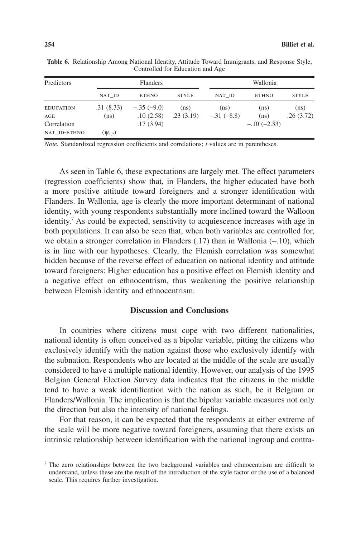| Predictors              |                   | <b>Flanders</b>           |                   | Wallonia             |              |                   |  |
|-------------------------|-------------------|---------------------------|-------------------|----------------------|--------------|-------------------|--|
|                         | NAT ID            | <b>ETHNO</b>              | <b>STYLE</b>      | NAT ID               | <b>ETHNO</b> | <b>STYLE</b>      |  |
| <b>EDUCATION</b><br>AGE | .31(8.33)<br>(ns) | $-.35(-9.0)$<br>.10(2.58) | (ns)<br>.23(3.19) | (ns)<br>$-.31(-8.8)$ | (ns)<br>(ns) | (ns)<br>.26(3.72) |  |
| Correlation             |                   | .17(3.94)                 |                   |                      | $-10(-2.33)$ |                   |  |
| NAT ID-ETHNO            | $(\Psi_{1,2})$    |                           |                   |                      |              |                   |  |

**Table 6.** Relationship Among National Identity, Attitude Toward Immigrants, and Response Style, Controlled for Education and Age

*Note.* Standardized regression coefficients and correlations; *t* values are in parentheses.

As seen in Table 6, these expectations are largely met. The effect parameters (regression coefficients) show that, in Flanders, the higher educated have both a more positive attitude toward foreigners and a stronger identification with Flanders. In Wallonia, age is clearly the more important determinant of national identity, with young respondents substantially more inclined toward the Walloon identity.7 As could be expected, sensitivity to acquiescence increases with age in both populations. It can also be seen that, when both variables are controlled for, we obtain a stronger correlation in Flanders  $(.17)$  than in Wallonia  $(-.10)$ , which is in line with our hypotheses. Clearly, the Flemish correlation was somewhat hidden because of the reverse effect of education on national identity and attitude toward foreigners: Higher education has a positive effect on Flemish identity and a negative effect on ethnocentrism, thus weakening the positive relationship between Flemish identity and ethnocentrism.

# **Discussion and Conclusions**

In countries where citizens must cope with two different nationalities, national identity is often conceived as a bipolar variable, pitting the citizens who exclusively identify with the nation against those who exclusively identify with the subnation. Respondents who are located at the middle of the scale are usually considered to have a multiple national identity. However, our analysis of the 1995 Belgian General Election Survey data indicates that the citizens in the middle tend to have a weak identification with the nation as such, be it Belgium or Flanders/Wallonia. The implication is that the bipolar variable measures not only the direction but also the intensity of national feelings.

For that reason, it can be expected that the respondents at either extreme of the scale will be more negative toward foreigners, assuming that there exists an intrinsic relationship between identification with the national ingroup and contra-

 $\alpha$ <sup>7</sup> The zero relationships between the two background variables and ethnocentrism are difficult to understand, unless these are the result of the introduction of the style factor or the use of a balanced scale. This requires further investigation.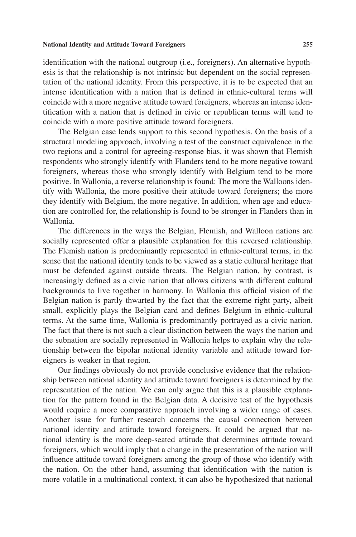identification with the national outgroup (i.e., foreigners). An alternative hypothesis is that the relationship is not intrinsic but dependent on the social representation of the national identity. From this perspective, it is to be expected that an intense identification with a nation that is defined in ethnic-cultural terms will coincide with a more negative attitude toward foreigners, whereas an intense identification with a nation that is defined in civic or republican terms will tend to coincide with a more positive attitude toward foreigners.

The Belgian case lends support to this second hypothesis. On the basis of a structural modeling approach, involving a test of the construct equivalence in the two regions and a control for agreeing-response bias, it was shown that Flemish respondents who strongly identify with Flanders tend to be more negative toward foreigners, whereas those who strongly identify with Belgium tend to be more positive. In Wallonia, a reverse relationship is found: The more the Walloons identify with Wallonia, the more positive their attitude toward foreigners; the more they identify with Belgium, the more negative. In addition, when age and education are controlled for, the relationship is found to be stronger in Flanders than in Wallonia.

The differences in the ways the Belgian, Flemish, and Walloon nations are socially represented offer a plausible explanation for this reversed relationship. The Flemish nation is predominantly represented in ethnic-cultural terms, in the sense that the national identity tends to be viewed as a static cultural heritage that must be defended against outside threats. The Belgian nation, by contrast, is increasingly defined as a civic nation that allows citizens with different cultural backgrounds to live together in harmony. In Wallonia this official vision of the Belgian nation is partly thwarted by the fact that the extreme right party, albeit small, explicitly plays the Belgian card and defines Belgium in ethnic-cultural terms. At the same time, Wallonia is predominantly portrayed as a civic nation. The fact that there is not such a clear distinction between the ways the nation and the subnation are socially represented in Wallonia helps to explain why the relationship between the bipolar national identity variable and attitude toward foreigners is weaker in that region.

Our findings obviously do not provide conclusive evidence that the relationship between national identity and attitude toward foreigners is determined by the representation of the nation. We can only argue that this is a plausible explanation for the pattern found in the Belgian data. A decisive test of the hypothesis would require a more comparative approach involving a wider range of cases. Another issue for further research concerns the causal connection between national identity and attitude toward foreigners. It could be argued that national identity is the more deep-seated attitude that determines attitude toward foreigners, which would imply that a change in the presentation of the nation will influence attitude toward foreigners among the group of those who identify with the nation. On the other hand, assuming that identification with the nation is more volatile in a multinational context, it can also be hypothesized that national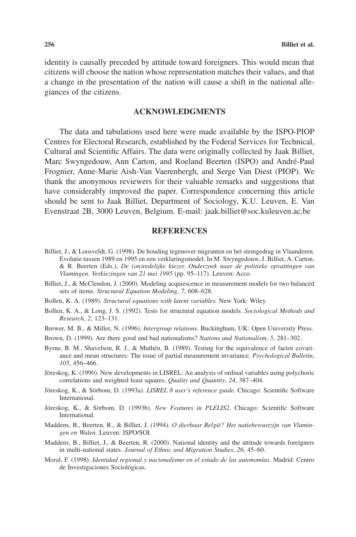identity is causally preceded by attitude toward foreigners. This would mean that citizens will choose the nation whose representation matches their values, and that a change in the presentation of the nation will cause a shift in the national allegiances of the citizens.

## **ACKNOWLEDGMENTS**

The data and tabulations used here were made available by the ISPO-PIOP Centres for Electoral Research, established by the Federal Services for Technical, Cultural and Scientific Affairs. The data were originally collected by Jaak Billiet, Marc Swyngedouw, Ann Carton, and Roeland Beerten (ISPO) and André-Paul Frognier, Anne-Marie Aish-Van Vaerenbergh, and Serge Van Diest (PIOP). We thank the anonymous reviewers for their valuable remarks and suggestions that have considerably improved the paper. Correspondence concerning this article should be sent to Jaak Billiet, Department of Sociology, K.U. Leuven, E. Van Evenstraat 2B, 3000 Leuven, Belgium. E-mail: jaak.billiet@soc.kuleuven.ac.be

# **REFERENCES**

- Billiet, J., & Loosveldt, G. (1998). De houding tegenover migranten en het stemgedrag in Vlaanderen. Evolutie tussen 1989 en 1995 en een verklaringsmodel. In M. Swyngedouw, J. Billiet, A. Carton, & R. Beerten (Eds.), *De (on)redelijke kiezer. Onderzoek naar de politieke opvattingen van Vlamingen. Verkiezingen van 21 mei 1995* (pp. 95–117). Leuven: Acco.
- Billiet, J., & McClendon, J. (2000). Modeling acquiescence in measurement models for two balanced sets of items. *Structural Equation Modeling*, *7*, 608–628.
- Bollen, K. A. (1989). *Structural equations with latent variables.* New York: Wiley.
- Bollen, K. A., & Long, J. S. (1992). Tests for structural equation models. *Sociological Methods and Research*, *2*, 123–131.
- Brewer, M. B., & Miller, N. (1996). *Intergroup relations.* Buckingham, UK: Open University Press.
- Brown, D. (1999). Are there good and bad nationalisms? *Nations and Nationalism*, *5*, 281–302.
- Byrne, B. M., Shavelson, R. J., & Muthén, B. (1989). Testing for the equivalence of factor covariance and mean structures: The issue of partial measurement invariance. *Psychological Bulletin*, *105*, 456–466.
- Jöreskog, K. (1990). New developments in LISREL: An analysis of ordinal variables using polychoric correlations and weighted least squares. *Quality and Quantity*, *24*, 387–404.
- Jöreskog, K., & Sörbom, D. (1993a). *LISREL 8 user's reference guide.* Chicago: Scientific Software International.
- Jöreskog, K., & Sörbom, D. (1993b). *New Features in PLELIS2.* Chicago*:* Scientific Software International.
- Maddens, B., Beerten, R., & Billiet, J. (1994). *O dierbaar België? Het natiebewustzijn van Vlamingen en Walen.* Leuven: ISPO/SOI.
- Maddens, B., Billiet, J., & Beerten, R. (2000). National identity and the attitude towards foreigners in multi-national states. *Journal of Ethnic and Migration Studies*, *26*, 45–60.
- Moral, F. (1998). *Identidad regional y nacionalismo en el estado de las autonomías.* Madrid: Centro de Investigaciones Sociológicas.